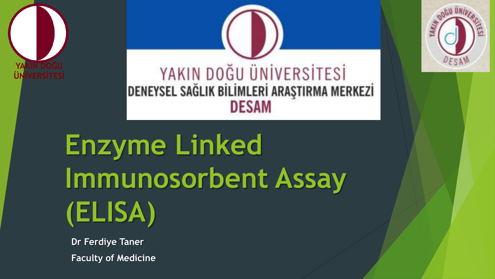



# **Enzyme Linked Immunosorbent Assay (ELISA)**

**Dr Ferdiye Taner Faculty of Medicine**

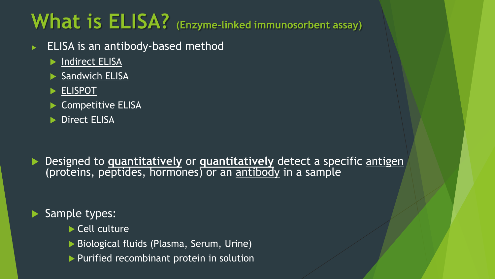# **What is ELISA? (Enzyme-linked immunosorbent assay)**

- ELISA is an antibody-based method
	- **Indirect ELISA**
	- Sandwich ELISA
	- **ELISPOT**
	- Competitive ELISA
	- Direct ELISA

**Designed to quantitatively or quantitatively** detect a specific antigen (proteins, peptides, hormones) or an antibody in a sample

### Sample types:

- Cell culture
- ▶ Biological fluids (Plasma, Serum, Urine)
- Purified recombinant protein in solution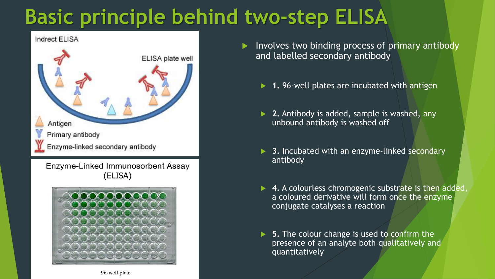# **Basic principle behind two-step ELISA**



 Involves two binding process of primary antibody and labelled secondary antibody

- **1.** 96-well plates are incubated with antigen
- **2.** Antibody is added, sample is washed, any unbound antibody is washed off
- **3.** Incubated with an enzyme-linked secondary antibody
- ▶ 4. A colourless chromogenic substrate is then added, a coloured derivative will form once the enzyme conjugate catalyses a reaction
- **5.** The colour change is used to confirm the presence of an analyte both qualitatively and quantitatively

96-well plate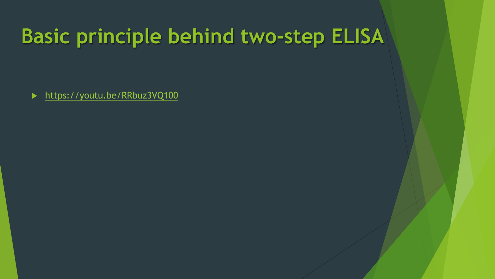# **Basic principle behind two-step ELISA**

▶ <https://youtu.be/RRbuz3VQ100>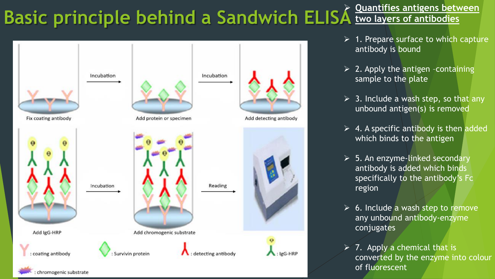# **Basic principle behind a Sandwich ELISA** *Luantifies antigens between*



- $\geq 1$ . Prepare surface to which capture antibody is bound
- $\triangleright$  2. Apply the antigen -containing sample to the plate
- $\geq$  3. Include a wash step, so that any unbound antigen(s) is removed
- $\triangleright$  4. A specific antibody is then added which binds to the antigen
- $\geq$  5. An enzyme-linked secondary antibody is added which binds specifically to the antibody's Fc region
- $\triangleright$  6. Include a wash step to remove any unbound antibody-enzyme conjugates
- $\triangleright$  7. Apply a chemical that is converted by the enzyme into colour of fluorescent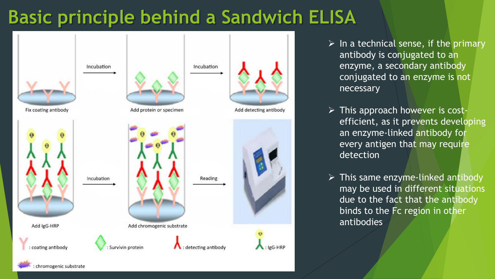### **Basic principle behind a Sandwich ELISA**

![](_page_5_Figure_1.jpeg)

chromogenic substrate

- $\triangleright$  In a technical sense, if the primary antibody is conjugated to an enzyme, a secondary antibody conjugated to an enzyme is not necessary
- > This approach however is costefficient, as it prevents developing an enzyme-linked antibody for every antigen that may require detection
- $\triangleright$  This same enzyme-linked antibody may be used in different situations due to the fact that the antibody binds to the Fc region in other antibodies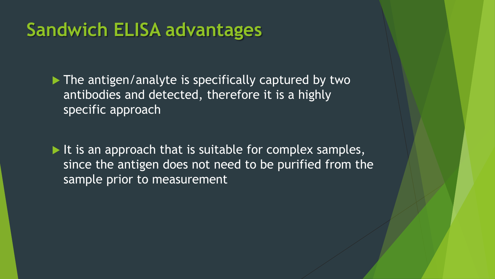### **Sandwich ELISA advantages**

 $\blacktriangleright$  The antigen/analyte is specifically captured by two antibodies and detected, therefore it is a highly specific approach

 $\blacktriangleright$  It is an approach that is suitable for complex samples, since the antigen does not need to be purified from the sample prior to measurement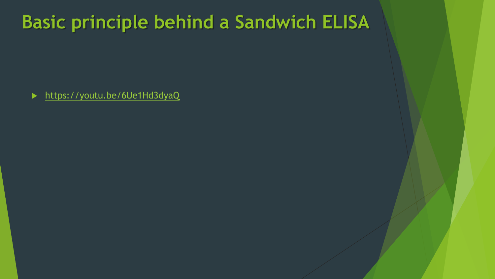### **Basic principle behind a Sandwich ELISA**

▶ <https://youtu.be/6Ue1Hd3dyaQ>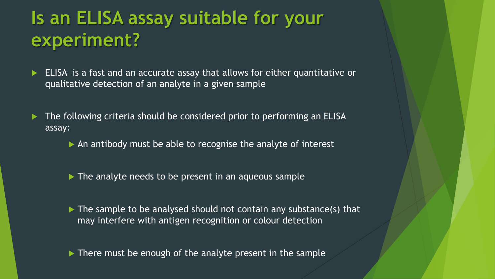### **Is an ELISA assay suitable for your experiment?**

- ELISA is a fast and an accurate assay that allows for either quantitative or qualitative detection of an analyte in a given sample
- The following criteria should be considered prior to performing an ELISA assay:
	- An antibody must be able to recognise the analyte of interest
	- The analyte needs to be present in an aqueous sample
	- $\triangleright$  The sample to be analysed should not contain any substance(s) that may interfere with antigen recognition or colour detection
	- There must be enough of the analyte present in the sample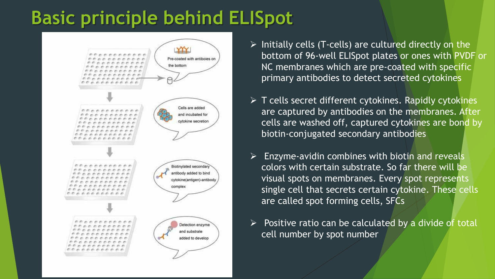### **Basic principle behind ELISpot**

![](_page_9_Figure_1.jpeg)

- $\triangleright$  Initially cells (T-cells) are cultured directly on the bottom of 96-well ELISpot plates or ones with PVDF or NC membranes which are pre-coated with specific primary antibodies to detect secreted cytokines
- $\triangleright$  T cells secret different cytokines. Rapidly cytokines are captured by antibodies on the membranes. After cells are washed off, captured cytokines are bond by biotin-conjugated secondary antibodies
- $\triangleright$  Enzyme-avidin combines with biotin and reveals colors with certain substrate. So far there will be visual spots on membranes. Every spot represents single cell that secrets certain cytokine. These cells are called spot forming cells, SFCs
- $\triangleright$  Positive ratio can be calculated by a divide of total cell number by spot number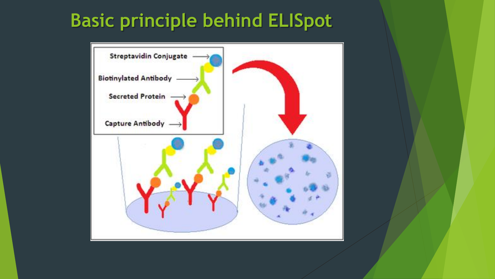### **Basic principle behind ELISpot**

![](_page_10_Figure_1.jpeg)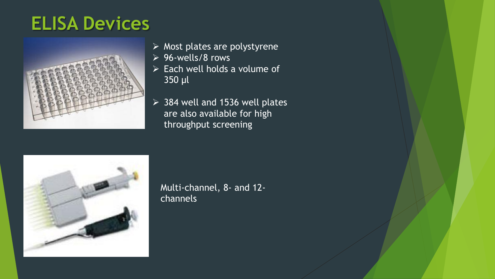### **ELISA Devices**

![](_page_11_Picture_1.jpeg)

- $\triangleright$  Most plates are polystyrene
- $\geq 96$ -wells/8 rows
- Each well holds a volume of 350 μl
- $>$  384 well and 1536 well plates are also available for high throughput screening

![](_page_11_Picture_6.jpeg)

Multi-channel, 8- and 12 channels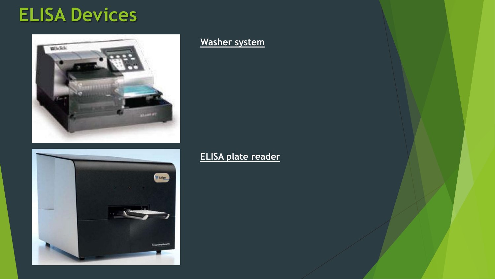### **ELISA Devices**

![](_page_12_Picture_1.jpeg)

# V Caliger

### **Washer system**

**ELISA plate reader**